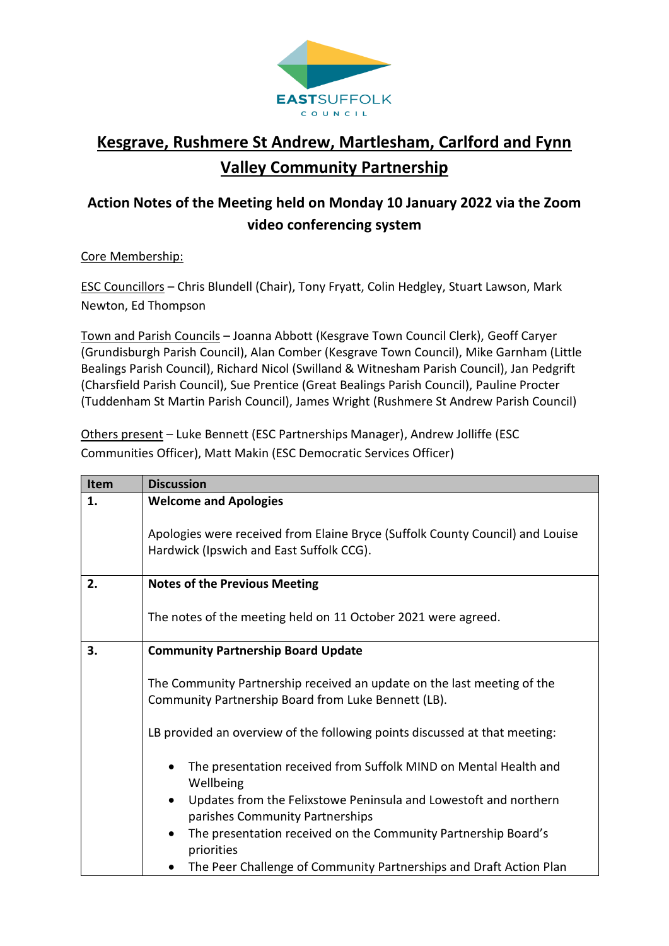

## **Kesgrave, Rushmere St Andrew, Martlesham, Carlford and Fynn Valley Community Partnership**

## **Action Notes of the Meeting held on Monday 10 January 2022 via the Zoom video conferencing system**

## Core Membership:

ESC Councillors – Chris Blundell (Chair), Tony Fryatt, Colin Hedgley, Stuart Lawson, Mark Newton, Ed Thompson

Town and Parish Councils – Joanna Abbott (Kesgrave Town Council Clerk), Geoff Caryer (Grundisburgh Parish Council), Alan Comber (Kesgrave Town Council), Mike Garnham (Little Bealings Parish Council), Richard Nicol (Swilland & Witnesham Parish Council), Jan Pedgrift (Charsfield Parish Council), Sue Prentice (Great Bealings Parish Council), Pauline Procter (Tuddenham St Martin Parish Council), James Wright (Rushmere St Andrew Parish Council)

Others present – Luke Bennett (ESC Partnerships Manager), Andrew Jolliffe (ESC Communities Officer), Matt Makin (ESC Democratic Services Officer)

| Item | <b>Discussion</b>                                                                                                              |
|------|--------------------------------------------------------------------------------------------------------------------------------|
| 1.   | <b>Welcome and Apologies</b>                                                                                                   |
|      | Apologies were received from Elaine Bryce (Suffolk County Council) and Louise                                                  |
|      | Hardwick (Ipswich and East Suffolk CCG).                                                                                       |
| 2.   | <b>Notes of the Previous Meeting</b>                                                                                           |
|      | The notes of the meeting held on 11 October 2021 were agreed.                                                                  |
| 3.   | <b>Community Partnership Board Update</b>                                                                                      |
|      | The Community Partnership received an update on the last meeting of the<br>Community Partnership Board from Luke Bennett (LB). |
|      | LB provided an overview of the following points discussed at that meeting:                                                     |
|      | The presentation received from Suffolk MIND on Mental Health and<br>Wellbeing                                                  |
|      | Updates from the Felixstowe Peninsula and Lowestoft and northern<br>parishes Community Partnerships                            |
|      | The presentation received on the Community Partnership Board's<br>priorities                                                   |
|      | The Peer Challenge of Community Partnerships and Draft Action Plan                                                             |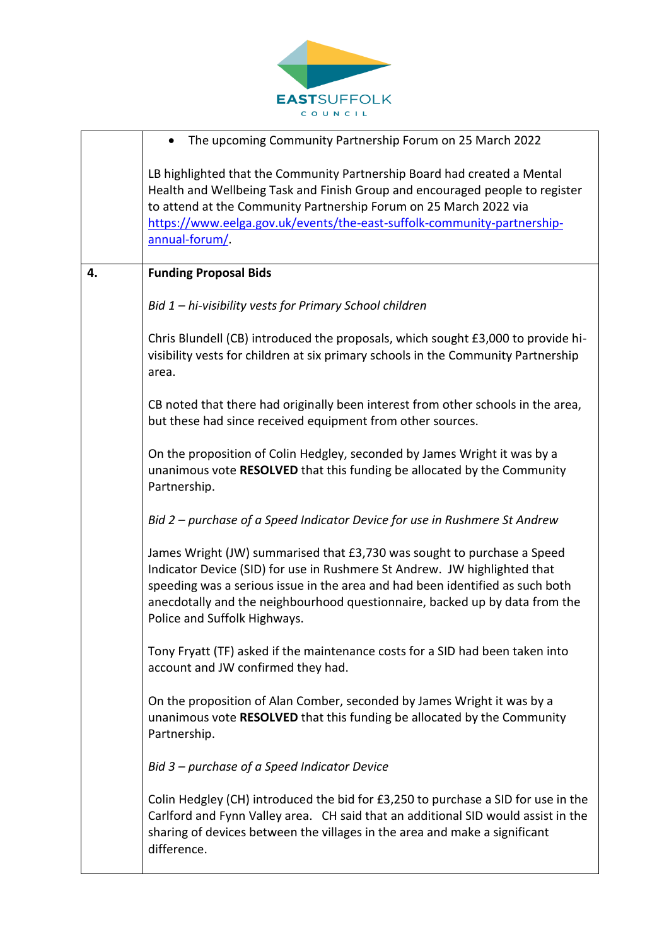

|    | The upcoming Community Partnership Forum on 25 March 2022                                                                                                                                                                                                                                                                                            |
|----|------------------------------------------------------------------------------------------------------------------------------------------------------------------------------------------------------------------------------------------------------------------------------------------------------------------------------------------------------|
|    | LB highlighted that the Community Partnership Board had created a Mental<br>Health and Wellbeing Task and Finish Group and encouraged people to register<br>to attend at the Community Partnership Forum on 25 March 2022 via<br>https://www.eelga.gov.uk/events/the-east-suffolk-community-partnership-<br>annual-forum/.                           |
| 4. | <b>Funding Proposal Bids</b>                                                                                                                                                                                                                                                                                                                         |
|    | Bid 1 - hi-visibility vests for Primary School children                                                                                                                                                                                                                                                                                              |
|    | Chris Blundell (CB) introduced the proposals, which sought £3,000 to provide hi-<br>visibility vests for children at six primary schools in the Community Partnership<br>area.                                                                                                                                                                       |
|    | CB noted that there had originally been interest from other schools in the area,<br>but these had since received equipment from other sources.                                                                                                                                                                                                       |
|    | On the proposition of Colin Hedgley, seconded by James Wright it was by a<br>unanimous vote RESOLVED that this funding be allocated by the Community<br>Partnership.                                                                                                                                                                                 |
|    | Bid 2 – purchase of a Speed Indicator Device for use in Rushmere St Andrew                                                                                                                                                                                                                                                                           |
|    | James Wright (JW) summarised that £3,730 was sought to purchase a Speed<br>Indicator Device (SID) for use in Rushmere St Andrew. JW highlighted that<br>speeding was a serious issue in the area and had been identified as such both<br>anecdotally and the neighbourhood questionnaire, backed up by data from the<br>Police and Suffolk Highways. |
|    | Tony Fryatt (TF) asked if the maintenance costs for a SID had been taken into<br>account and JW confirmed they had.                                                                                                                                                                                                                                  |
|    | On the proposition of Alan Comber, seconded by James Wright it was by a<br>unanimous vote RESOLVED that this funding be allocated by the Community<br>Partnership.                                                                                                                                                                                   |
|    | Bid 3 – purchase of a Speed Indicator Device                                                                                                                                                                                                                                                                                                         |
|    | Colin Hedgley (CH) introduced the bid for £3,250 to purchase a SID for use in the<br>Carlford and Fynn Valley area. CH said that an additional SID would assist in the<br>sharing of devices between the villages in the area and make a significant<br>difference.                                                                                  |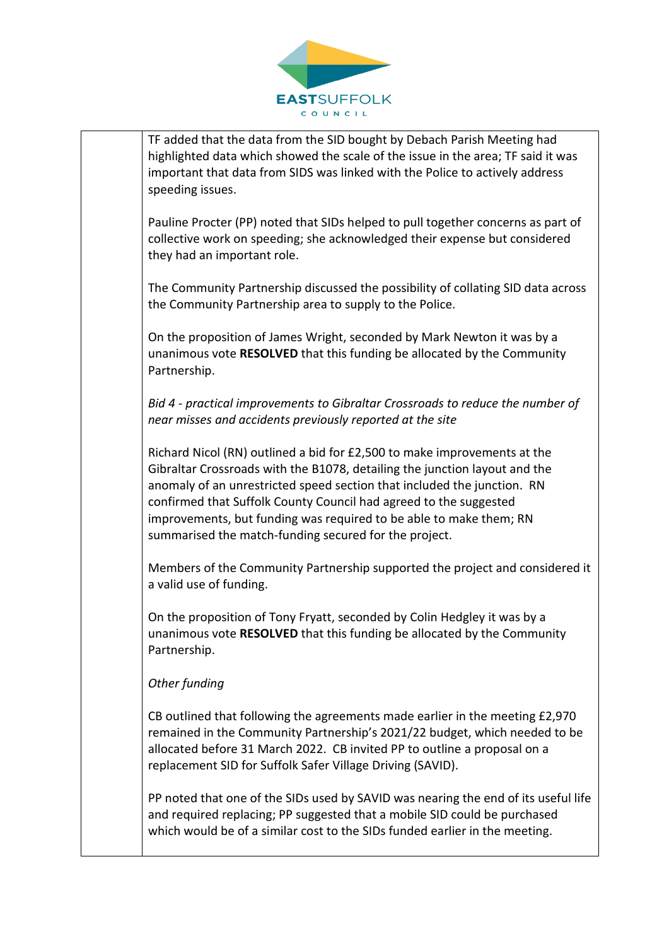

TF added that the data from the SID bought by Debach Parish Meeting had highlighted data which showed the scale of the issue in the area; TF said it was important that data from SIDS was linked with the Police to actively address speeding issues.

Pauline Procter (PP) noted that SIDs helped to pull together concerns as part of collective work on speeding; she acknowledged their expense but considered they had an important role.

The Community Partnership discussed the possibility of collating SID data across the Community Partnership area to supply to the Police.

On the proposition of James Wright, seconded by Mark Newton it was by a unanimous vote **RESOLVED** that this funding be allocated by the Community Partnership.

*Bid 4 - practical improvements to Gibraltar Crossroads to reduce the number of near misses and accidents previously reported at the site* 

Richard Nicol (RN) outlined a bid for £2,500 to make improvements at the Gibraltar Crossroads with the B1078, detailing the junction layout and the anomaly of an unrestricted speed section that included the junction. RN confirmed that Suffolk County Council had agreed to the suggested improvements, but funding was required to be able to make them; RN summarised the match-funding secured for the project.

Members of the Community Partnership supported the project and considered it a valid use of funding.

On the proposition of Tony Fryatt, seconded by Colin Hedgley it was by a unanimous vote **RESOLVED** that this funding be allocated by the Community Partnership.

## *Other funding*

CB outlined that following the agreements made earlier in the meeting £2,970 remained in the Community Partnership's 2021/22 budget, which needed to be allocated before 31 March 2022. CB invited PP to outline a proposal on a replacement SID for Suffolk Safer Village Driving (SAVID).

PP noted that one of the SIDs used by SAVID was nearing the end of its useful life and required replacing; PP suggested that a mobile SID could be purchased which would be of a similar cost to the SIDs funded earlier in the meeting.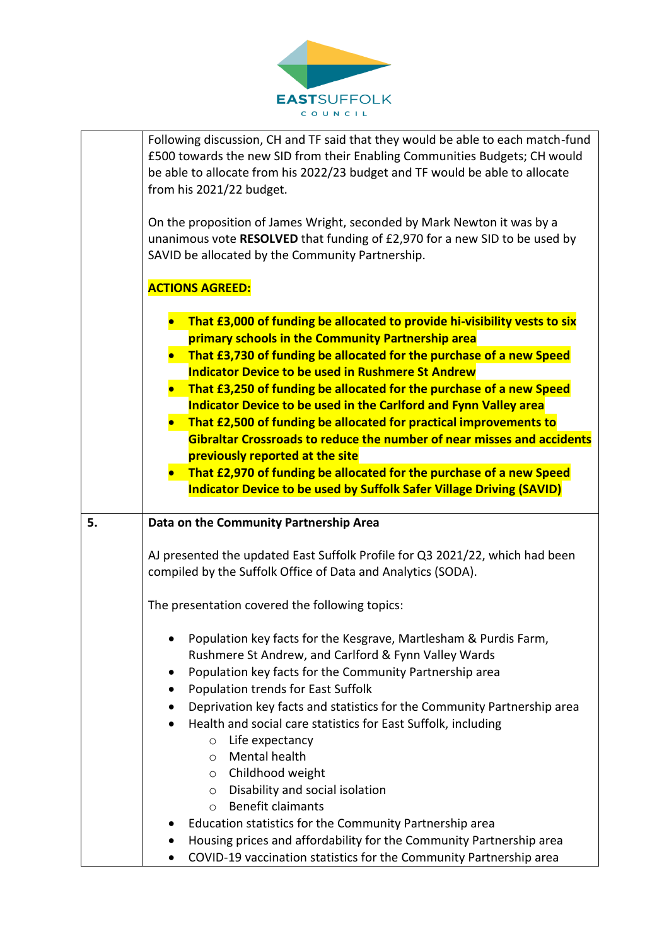

| Following discussion, CH and TF said that they would be able to each match-fund<br>£500 towards the new SID from their Enabling Communities Budgets; CH would<br>be able to allocate from his 2022/23 budget and TF would be able to allocate<br>from his 2021/22 budget.<br>On the proposition of James Wright, seconded by Mark Newton it was by a<br>unanimous vote RESOLVED that funding of £2,970 for a new SID to be used by<br>SAVID be allocated by the Community Partnership.                                                                                                                                                                                                                                                               |
|------------------------------------------------------------------------------------------------------------------------------------------------------------------------------------------------------------------------------------------------------------------------------------------------------------------------------------------------------------------------------------------------------------------------------------------------------------------------------------------------------------------------------------------------------------------------------------------------------------------------------------------------------------------------------------------------------------------------------------------------------|
| <b>ACTIONS AGREED:</b>                                                                                                                                                                                                                                                                                                                                                                                                                                                                                                                                                                                                                                                                                                                               |
| That £3,000 of funding be allocated to provide hi-visibility vests to six<br>primary schools in the Community Partnership area<br>That £3,730 of funding be allocated for the purchase of a new Speed<br><b>Indicator Device to be used in Rushmere St Andrew</b><br>That £3,250 of funding be allocated for the purchase of a new Speed<br>Indicator Device to be used in the Carlford and Fynn Valley area<br>That £2,500 of funding be allocated for practical improvements to<br>Gibraltar Crossroads to reduce the number of near misses and accidents<br>previously reported at the site<br>That £2,970 of funding be allocated for the purchase of a new Speed<br><b>Indicator Device to be used by Suffolk Safer Village Driving (SAVID)</b> |
| Data on the Community Partnership Area                                                                                                                                                                                                                                                                                                                                                                                                                                                                                                                                                                                                                                                                                                               |
| AJ presented the updated East Suffolk Profile for Q3 2021/22, which had been<br>compiled by the Suffolk Office of Data and Analytics (SODA).                                                                                                                                                                                                                                                                                                                                                                                                                                                                                                                                                                                                         |
| The presentation covered the following topics:                                                                                                                                                                                                                                                                                                                                                                                                                                                                                                                                                                                                                                                                                                       |
| Population key facts for the Kesgrave, Martlesham & Purdis Farm,<br>Rushmere St Andrew, and Carlford & Fynn Valley Wards<br>Population key facts for the Community Partnership area<br>$\bullet$<br><b>Population trends for East Suffolk</b><br>٠<br>Deprivation key facts and statistics for the Community Partnership area<br>Health and social care statistics for East Suffolk, including<br>٠<br>Life expectancy<br>$\circ$<br>Mental health<br>$\circ$<br>Childhood weight<br>$\circ$<br>Disability and social isolation<br>$\circ$<br><b>Benefit claimants</b><br>$\circ$<br>Education statistics for the Community Partnership area<br>Housing prices and affordability for the Community Partnership area                                  |
|                                                                                                                                                                                                                                                                                                                                                                                                                                                                                                                                                                                                                                                                                                                                                      |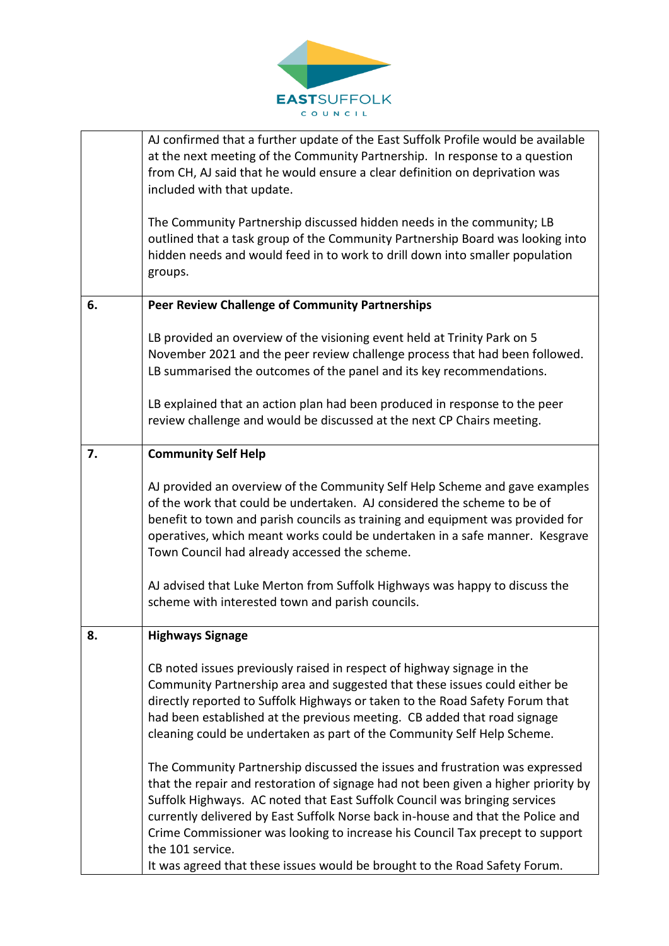

|    | AJ confirmed that a further update of the East Suffolk Profile would be available<br>at the next meeting of the Community Partnership. In response to a question<br>from CH, AJ said that he would ensure a clear definition on deprivation was<br>included with that update.<br>The Community Partnership discussed hidden needs in the community; LB<br>outlined that a task group of the Community Partnership Board was looking into<br>hidden needs and would feed in to work to drill down into smaller population<br>groups. |
|----|-------------------------------------------------------------------------------------------------------------------------------------------------------------------------------------------------------------------------------------------------------------------------------------------------------------------------------------------------------------------------------------------------------------------------------------------------------------------------------------------------------------------------------------|
| 6. | <b>Peer Review Challenge of Community Partnerships</b>                                                                                                                                                                                                                                                                                                                                                                                                                                                                              |
|    | LB provided an overview of the visioning event held at Trinity Park on 5<br>November 2021 and the peer review challenge process that had been followed.<br>LB summarised the outcomes of the panel and its key recommendations.                                                                                                                                                                                                                                                                                                     |
|    | LB explained that an action plan had been produced in response to the peer<br>review challenge and would be discussed at the next CP Chairs meeting.                                                                                                                                                                                                                                                                                                                                                                                |
| 7. | <b>Community Self Help</b>                                                                                                                                                                                                                                                                                                                                                                                                                                                                                                          |
|    | AJ provided an overview of the Community Self Help Scheme and gave examples<br>of the work that could be undertaken. AJ considered the scheme to be of<br>benefit to town and parish councils as training and equipment was provided for<br>operatives, which meant works could be undertaken in a safe manner. Kesgrave<br>Town Council had already accessed the scheme.                                                                                                                                                           |
|    | AJ advised that Luke Merton from Suffolk Highways was happy to discuss the<br>scheme with interested town and parish councils.                                                                                                                                                                                                                                                                                                                                                                                                      |
| 8. | <b>Highways Signage</b>                                                                                                                                                                                                                                                                                                                                                                                                                                                                                                             |
|    | CB noted issues previously raised in respect of highway signage in the<br>Community Partnership area and suggested that these issues could either be<br>directly reported to Suffolk Highways or taken to the Road Safety Forum that<br>had been established at the previous meeting. CB added that road signage<br>cleaning could be undertaken as part of the Community Self Help Scheme.                                                                                                                                         |
|    | The Community Partnership discussed the issues and frustration was expressed<br>that the repair and restoration of signage had not been given a higher priority by<br>Suffolk Highways. AC noted that East Suffolk Council was bringing services<br>currently delivered by East Suffolk Norse back in-house and that the Police and<br>Crime Commissioner was looking to increase his Council Tax precept to support<br>the 101 service.<br>It was agreed that these issues would be brought to the Road Safety Forum.              |